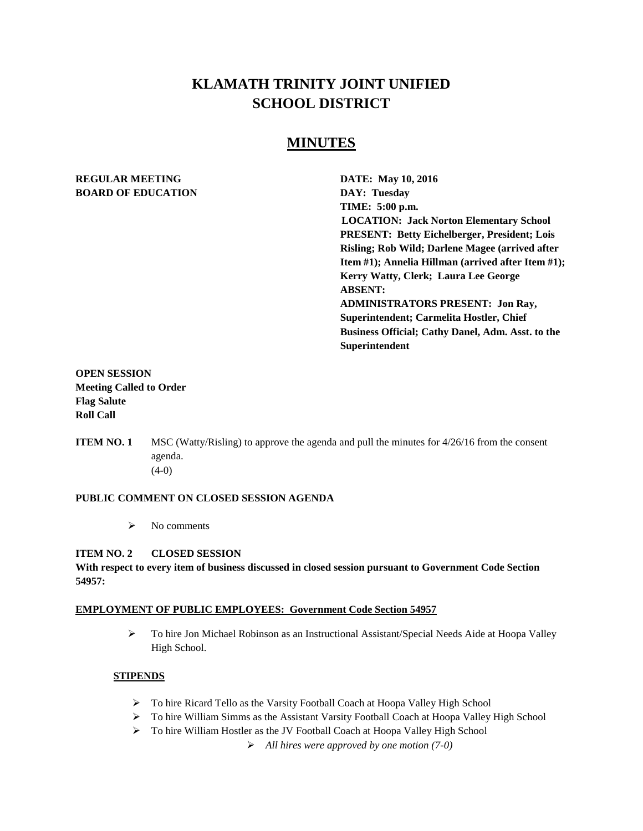# **KLAMATH TRINITY JOINT UNIFIED SCHOOL DISTRICT**

# **MINUTES**

# **REGULAR MEETING DATE: May 10, 2016 BOARD OF EDUCATION DAY: Tuesday**

**TIME: 5:00 p.m. LOCATION: Jack Norton Elementary School PRESENT: Betty Eichelberger, President; Lois Risling; Rob Wild; Darlene Magee (arrived after Item #1); Annelia Hillman (arrived after Item #1); Kerry Watty, Clerk; Laura Lee George ABSENT: ADMINISTRATORS PRESENT: Jon Ray, Superintendent; Carmelita Hostler, Chief Business Official; Cathy Danel, Adm. Asst. to the Superintendent**

# **OPEN SESSION Meeting Called to Order Flag Salute Roll Call**

**ITEM NO. 1** MSC (Watty/Risling) to approve the agenda and pull the minutes for  $4/26/16$  from the consent agenda.  $(4-0)$ 

# **PUBLIC COMMENT ON CLOSED SESSION AGENDA**

 $\triangleright$  No comments

# **ITEM NO. 2 CLOSED SESSION**

#### **With respect to every item of business discussed in closed session pursuant to Government Code Section 54957:**

#### **EMPLOYMENT OF PUBLIC EMPLOYEES: Government Code Section 54957**

 To hire Jon Michael Robinson as an Instructional Assistant/Special Needs Aide at Hoopa Valley High School.

# **STIPENDS**

- > To hire Ricard Tello as the Varsity Football Coach at Hoopa Valley High School
- To hire William Simms as the Assistant Varsity Football Coach at Hoopa Valley High School
- To hire William Hostler as the JV Football Coach at Hoopa Valley High School

*All hires were approved by one motion (7-0)*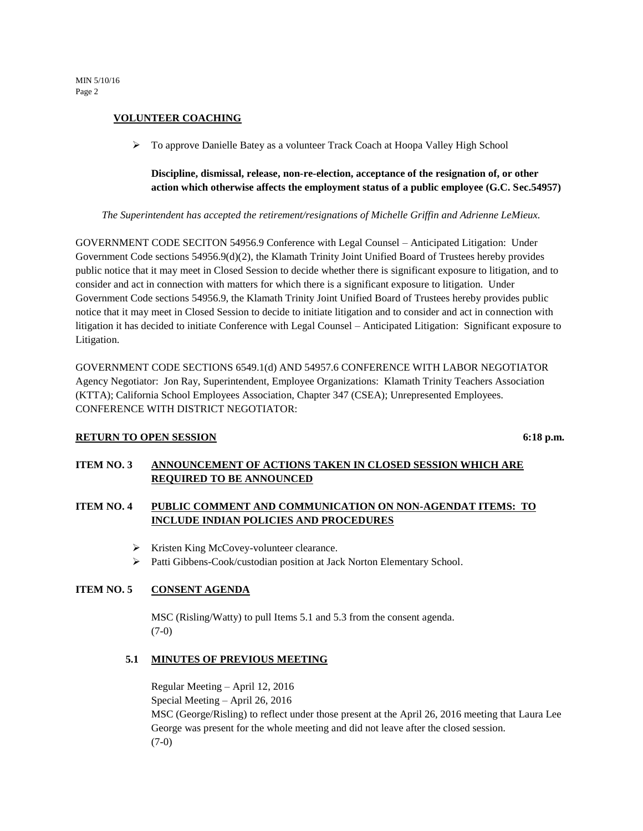# **VOLUNTEER COACHING**

To approve Danielle Batey as a volunteer Track Coach at Hoopa Valley High School

# **Discipline, dismissal, release, non-re-election, acceptance of the resignation of, or other action which otherwise affects the employment status of a public employee (G.C. Sec.54957)**

*The Superintendent has accepted the retirement/resignations of Michelle Griffin and Adrienne LeMieux.* 

GOVERNMENT CODE SECITON 54956.9 Conference with Legal Counsel – Anticipated Litigation: Under Government Code sections 54956.9(d)(2), the Klamath Trinity Joint Unified Board of Trustees hereby provides public notice that it may meet in Closed Session to decide whether there is significant exposure to litigation, and to consider and act in connection with matters for which there is a significant exposure to litigation. Under Government Code sections 54956.9, the Klamath Trinity Joint Unified Board of Trustees hereby provides public notice that it may meet in Closed Session to decide to initiate litigation and to consider and act in connection with litigation it has decided to initiate Conference with Legal Counsel – Anticipated Litigation: Significant exposure to Litigation.

GOVERNMENT CODE SECTIONS 6549.1(d) AND 54957.6 CONFERENCE WITH LABOR NEGOTIATOR Agency Negotiator: Jon Ray, Superintendent, Employee Organizations: Klamath Trinity Teachers Association (KTTA); California School Employees Association, Chapter 347 (CSEA); Unrepresented Employees. CONFERENCE WITH DISTRICT NEGOTIATOR:

# **RETURN TO OPEN SESSION** 6:18 **p.m.**

# **ITEM NO. 3 ANNOUNCEMENT OF ACTIONS TAKEN IN CLOSED SESSION WHICH ARE REQUIRED TO BE ANNOUNCED**

# **ITEM NO. 4 PUBLIC COMMENT AND COMMUNICATION ON NON-AGENDAT ITEMS: TO INCLUDE INDIAN POLICIES AND PROCEDURES**

- $\triangleright$  Kristen King McCovey-volunteer clearance.
- Patti Gibbens-Cook/custodian position at Jack Norton Elementary School.

# **ITEM NO. 5 CONSENT AGENDA**

MSC (Risling/Watty) to pull Items 5.1 and 5.3 from the consent agenda.  $(7-0)$ 

# **5.1 MINUTES OF PREVIOUS MEETING**

Regular Meeting – April 12, 2016 Special Meeting – April 26, 2016 MSC (George/Risling) to reflect under those present at the April 26, 2016 meeting that Laura Lee George was present for the whole meeting and did not leave after the closed session. (7-0)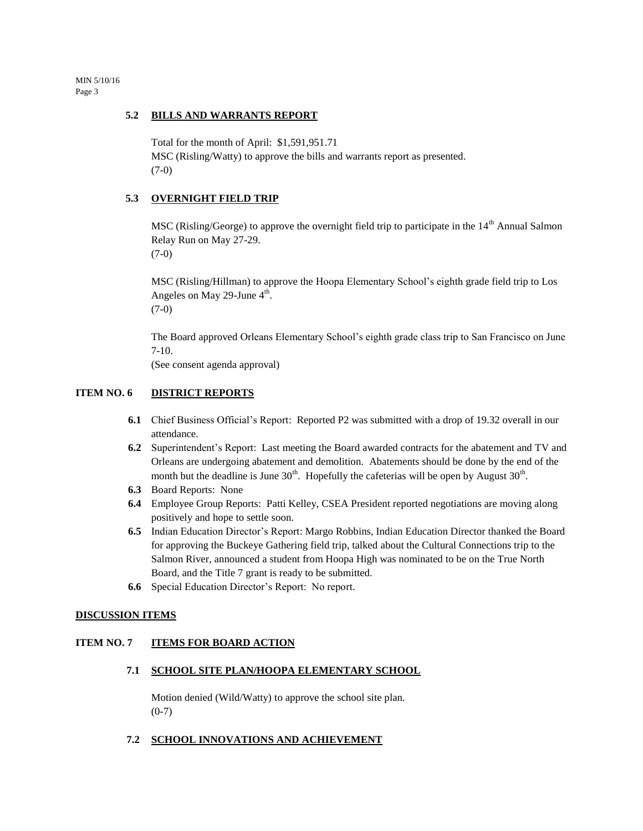MIN 5/10/16 Page 3

#### **5.2 BILLS AND WARRANTS REPORT**

Total for the month of April: \$1,591,951.71

MSC (Risling/Watty) to approve the bills and warrants report as presented. (7-0)

### **5.3 OVERNIGHT FIELD TRIP**

MSC (Risling/George) to approve the overnight field trip to participate in the 14<sup>th</sup> Annual Salmon Relay Run on May 27-29. (7-0)

MSC (Risling/Hillman) to approve the Hoopa Elementary School's eighth grade field trip to Los Angeles on May 29-June  $4<sup>th</sup>$ . (7-0)

The Board approved Orleans Elementary School's eighth grade class trip to San Francisco on June 7-10.

(See consent agenda approval)

# **ITEM NO. 6 DISTRICT REPORTS**

- **6.1** Chief Business Official's Report: Reported P2 was submitted with a drop of 19.32 overall in our attendance.
- **6.2** Superintendent's Report: Last meeting the Board awarded contracts for the abatement and TV and Orleans are undergoing abatement and demolition. Abatements should be done by the end of the month but the deadline is June  $30<sup>th</sup>$ . Hopefully the cafeterias will be open by August  $30<sup>th</sup>$ .
- **6.3** Board Reports: None
- **6.4** Employee Group Reports: Patti Kelley, CSEA President reported negotiations are moving along positively and hope to settle soon.
- **6.5** Indian Education Director's Report: Margo Robbins, Indian Education Director thanked the Board for approving the Buckeye Gathering field trip, talked about the Cultural Connections trip to the Salmon River, announced a student from Hoopa High was nominated to be on the True North Board, and the Title 7 grant is ready to be submitted.
- **6.6** Special Education Director's Report: No report.

#### **DISCUSSION ITEMS**

# **ITEM NO. 7 ITEMS FOR BOARD ACTION**

#### **7.1 SCHOOL SITE PLAN/HOOPA ELEMENTARY SCHOOL**

Motion denied (Wild/Watty) to approve the school site plan.  $(0-7)$ 

 **7.2 SCHOOL INNOVATIONS AND ACHIEVEMENT**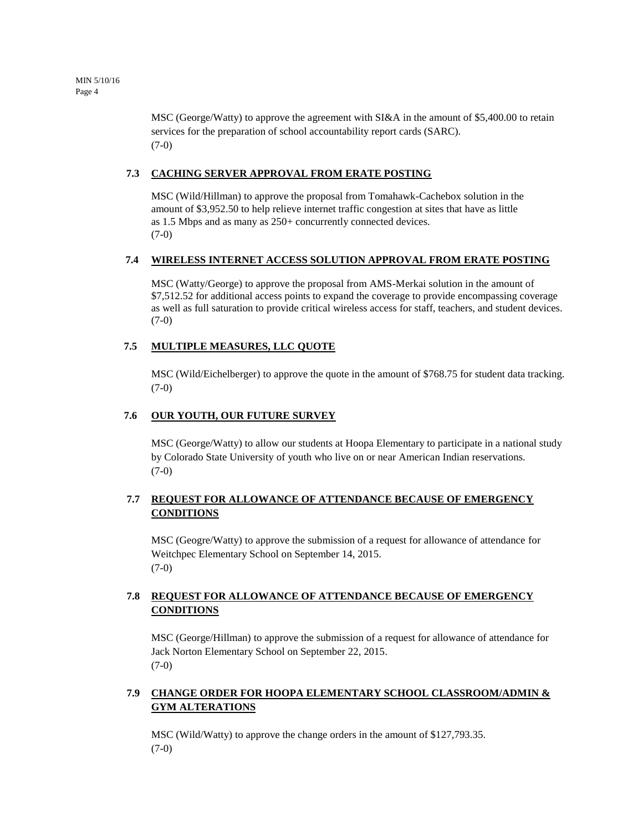MSC (George/Watty) to approve the agreement with SI&A in the amount of \$5,400.00 to retain services for the preparation of school accountability report cards (SARC). (7-0)

# **7.3 CACHING SERVER APPROVAL FROM ERATE POSTING**

MSC (Wild/Hillman) to approve the proposal from Tomahawk-Cachebox solution in the amount of \$3,952.50 to help relieve internet traffic congestion at sites that have as little as 1.5 Mbps and as many as 250+ concurrently connected devices.  $(7-0)$ 

# **7.4 WIRELESS INTERNET ACCESS SOLUTION APPROVAL FROM ERATE POSTING**

MSC (Watty/George) to approve the proposal from AMS-Merkai solution in the amount of \$7,512.52 for additional access points to expand the coverage to provide encompassing coverage as well as full saturation to provide critical wireless access for staff, teachers, and student devices.  $(7-0)$ 

# **7.5 MULTIPLE MEASURES, LLC QUOTE**

MSC (Wild/Eichelberger) to approve the quote in the amount of \$768.75 for student data tracking. (7-0)

# **7.6 OUR YOUTH, OUR FUTURE SURVEY**

MSC (George/Watty) to allow our students at Hoopa Elementary to participate in a national study by Colorado State University of youth who live on or near American Indian reservations. (7-0)

# **7.7 REQUEST FOR ALLOWANCE OF ATTENDANCE BECAUSE OF EMERGENCY CONDITIONS**

MSC (Geogre/Watty) to approve the submission of a request for allowance of attendance for Weitchpec Elementary School on September 14, 2015.  $(7-0)$ 

# **7.8 REQUEST FOR ALLOWANCE OF ATTENDANCE BECAUSE OF EMERGENCY CONDITIONS**

MSC (George/Hillman) to approve the submission of a request for allowance of attendance for Jack Norton Elementary School on September 22, 2015.  $(7-0)$ 

# **7.9 CHANGE ORDER FOR HOOPA ELEMENTARY SCHOOL CLASSROOM/ADMIN & GYM ALTERATIONS**

MSC (Wild/Watty) to approve the change orders in the amount of \$127,793.35. (7-0)